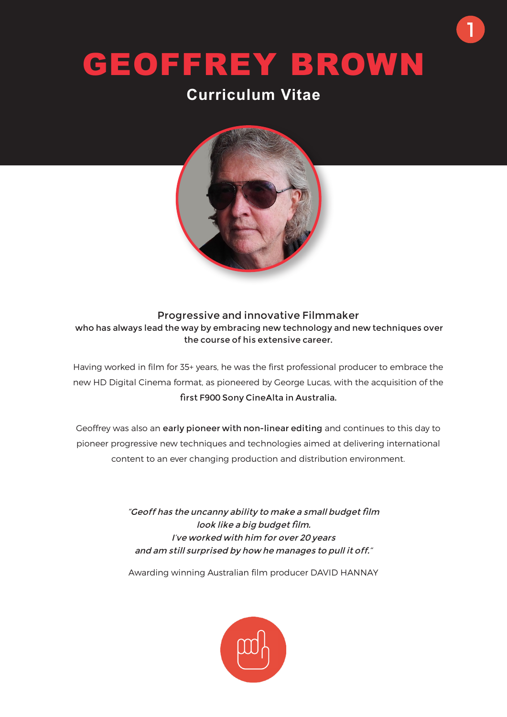# GEOFFREY BROWN

1

#### **Curriculum Vitae**



#### Progressive and innovative Filmmaker who has always lead the way by embracing new technology and new techniques over the course of his extensive career.

Having worked in film for 35+ years, he was the first professional producer to embrace the new HD Digital Cinema format, as pioneered by George Lucas, with the acquisition of the first F900 Sony CineAlta in Australia.

Geoffrey was also an early pioneer with non-linear editing and continues to this day to pioneer progressive new techniques and technologies aimed at delivering international content to an ever changing production and distribution environment.

> "Geoff has the uncanny ability to make a small budget film look like a big budget film. I've worked with him for over 20 years and am still surprised by how he manages to pull it off."

> Awarding winning Australian film producer DAVID HANNAY

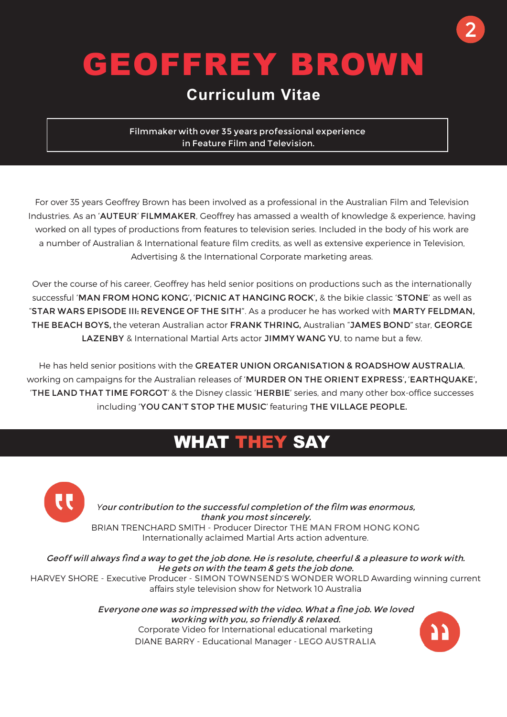# GEOFFREY BROWN

### **Curriculum Vitae**

Filmmaker with over 35 years professional experience in Feature Film and Television.

For over 35 years Geoffrey Brown has been involved as a professional in the Australian Film and Television Industries. As an 'AUTEUR' FILMMAKER, Geoffrey has amassed a wealth of knowledge & experience, having worked on all types of productions from features to television series. Included in the body of his work are a number of Australian & International feature film credits, as well as extensive experience in Television, Advertising & the International Corporate marketing areas.

Over the course of his career, Geoffrey has held senior positions on productions such as the internationally successful 'MAN FROM HONG KONG', 'PICNIC AT HANGING ROCK', & the bikie classic 'STONE' as well as "STAR WARS EPISODE III: REVENGE OF THE SITH". As a producer he has worked with MARTY FELDMAN, THE BEACH BOYS, the veteran Australian actor FRANK THRING, Australian "JAMES BOND" star, GEORGE LAZENBY & International Martial Arts actor JIMMY WANG YU, to name but a few.

He has held senior positions with the GREATER UNION ORGANISATION & ROADSHOW AUSTRALIA, working on campaigns for the Australian releases of 'MURDER ON THE ORIENT EXPRESS', 'EARTHQUAKE', 'THE LAND THAT TIME FORGOT' & the Disney classic 'HERBIE' series, and many other box-office successes including 'YOU CAN'T STOP THE MUSIC' featuring THE VILLAGE PEOPLE.

### WHAT THEY SAY

<sup>Y</sup>our contribution to the successful completion of the film was enormous, thank you most sincerely. BRIAN TRENCHARD SMITH - Producer Director THE MAN FROM HONG KONG Internationally aclaimed Martial Arts action adventure.

Geoff will always find a way to get the job done. He is resolute, cheerful & a pleasure to work with. He gets on with the team & gets the job done. HARVEY SHORE - Executive Producer - SIMON TOWNSEND'S WONDER WORLD Awarding winning current affairs style television show for Network 10 Australia

> Everyone one was so impressed with the video. What a fine job. We loved working with you, so friendly & relaxed. Corporate Video for International educational marketing DIANE BARRY - Educational Manager - LEGO AUSTRALIA



2